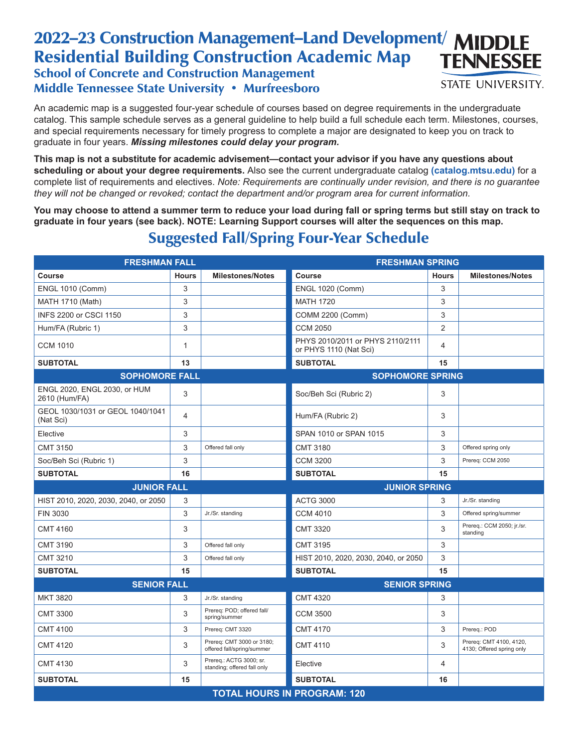## 2022-23 Construction Management-Land Development/ MIDDLE Residential Building Construction Academic Map **TENNESSEE** School of Concrete and Construction Management **STATE UNIVERSITY.** Middle Tennessee State University • Murfreesboro

An academic map is a suggested four-year schedule of courses based on degree requirements in the undergraduate catalog. This sample schedule serves as a general guideline to help build a full schedule each term. Milestones, courses, and special requirements necessary for timely progress to complete a major are designated to keep you on track to graduate in four years. *Missing milestones could delay your program.*

**This map is not a substitute for academic advisement—contact your advisor if you have any questions about scheduling or about your degree requirements.** Also see the current undergraduate catalog **(catalog.mtsu.edu)** for a complete list of requirements and electives. *Note: Requirements are continually under revision, and there is no guarantee they will not be changed or revoked; contact the department and/or program area for current information.*

**You may choose to attend a summer term to reduce your load during fall or spring terms but still stay on track to graduate in four years (see back). NOTE: Learning Support courses will alter the sequences on this map.**

| <b>FRESHMAN FALL</b>                          |                |                                                         | <b>FRESHMAN SPRING</b>                                     |                |                                                      |  |  |
|-----------------------------------------------|----------------|---------------------------------------------------------|------------------------------------------------------------|----------------|------------------------------------------------------|--|--|
| <b>Course</b>                                 | <b>Hours</b>   | <b>Milestones/Notes</b>                                 | <b>Course</b>                                              | <b>Hours</b>   | <b>Milestones/Notes</b>                              |  |  |
| <b>ENGL 1010 (Comm)</b>                       | 3              |                                                         | <b>ENGL 1020 (Comm)</b>                                    | 3              |                                                      |  |  |
| MATH 1710 (Math)                              | 3              |                                                         | <b>MATH 1720</b>                                           | 3              |                                                      |  |  |
| INFS 2200 or CSCI 1150                        | 3              |                                                         | COMM 2200 (Comm)                                           | 3              |                                                      |  |  |
| Hum/FA (Rubric 1)                             | 3              |                                                         | <b>CCM 2050</b>                                            | $\overline{2}$ |                                                      |  |  |
| <b>CCM 1010</b>                               | $\mathbf{1}$   |                                                         | PHYS 2010/2011 or PHYS 2110/2111<br>or PHYS 1110 (Nat Sci) | 4              |                                                      |  |  |
| <b>SUBTOTAL</b>                               | 13             |                                                         | <b>SUBTOTAL</b>                                            | 15             |                                                      |  |  |
| <b>SOPHOMORE FALL</b>                         |                |                                                         | <b>SOPHOMORE SPRING</b>                                    |                |                                                      |  |  |
| ENGL 2020, ENGL 2030, or HUM<br>2610 (Hum/FA) | 3              |                                                         | Soc/Beh Sci (Rubric 2)                                     | 3              |                                                      |  |  |
| GEOL 1030/1031 or GEOL 1040/1041<br>(Nat Sci) | $\overline{4}$ |                                                         | Hum/FA (Rubric 2)                                          | 3              |                                                      |  |  |
| Elective                                      | 3              |                                                         | SPAN 1010 or SPAN 1015                                     | 3              |                                                      |  |  |
| <b>CMT 3150</b>                               | 3              | Offered fall only                                       | <b>CMT 3180</b>                                            | 3              | Offered spring only                                  |  |  |
| Soc/Beh Sci (Rubric 1)                        | 3              |                                                         | <b>CCM 3200</b>                                            | 3              | Prereq: CCM 2050                                     |  |  |
| <b>SUBTOTAL</b>                               | 16             |                                                         | <b>SUBTOTAL</b>                                            | 15             |                                                      |  |  |
| <b>JUNIOR FALL</b>                            |                | <b>JUNIOR SPRING</b>                                    |                                                            |                |                                                      |  |  |
| HIST 2010, 2020, 2030, 2040, or 2050          | 3              |                                                         | <b>ACTG 3000</b>                                           | 3              | Jr./Sr. standing                                     |  |  |
| FIN 3030                                      | 3              | Jr./Sr. standing                                        | <b>CCM 4010</b>                                            | 3              | Offered spring/summer                                |  |  |
| <b>CMT 4160</b>                               | 3              |                                                         | <b>CMT 3320</b>                                            | 3              | Prereq.: CCM 2050; jr./sr.<br>standing               |  |  |
| <b>CMT 3190</b>                               | 3              | Offered fall only                                       | <b>CMT 3195</b>                                            | 3              |                                                      |  |  |
| <b>CMT 3210</b>                               | 3              | Offered fall only                                       | HIST 2010, 2020, 2030, 2040, or 2050                       | 3              |                                                      |  |  |
| <b>SUBTOTAL</b>                               | 15             |                                                         | <b>SUBTOTAL</b>                                            | 15             |                                                      |  |  |
| <b>SENIOR FALL</b>                            |                |                                                         | <b>SENIOR SPRING</b>                                       |                |                                                      |  |  |
| <b>MKT 3820</b>                               | 3              | Jr./Sr. standing                                        | <b>CMT 4320</b>                                            | 3              |                                                      |  |  |
| <b>CMT 3300</b>                               | 3              | Prereq: POD; offered fall/<br>spring/summer             | <b>CCM 3500</b>                                            | 3              |                                                      |  |  |
| <b>CMT 4100</b>                               | 3              | Prereq: CMT 3320                                        | <b>CMT 4170</b>                                            | 3              | Prereq.: POD                                         |  |  |
| <b>CMT 4120</b>                               | 3              | Prereq: CMT 3000 or 3180;<br>offered fall/spring/summer | <b>CMT 4110</b>                                            | 3              | Prereq: CMT 4100, 4120,<br>4130; Offered spring only |  |  |
| <b>CMT 4130</b>                               | 3              | Prereq.: ACTG 3000; sr.<br>standing; offered fall only  | Elective                                                   | 4              |                                                      |  |  |
| <b>SUBTOTAL</b>                               | 15             |                                                         | <b>SUBTOTAL</b>                                            | 16             |                                                      |  |  |
| <b>TOTAL HOURS IN PROGRAM: 120</b>            |                |                                                         |                                                            |                |                                                      |  |  |

## Suggested Fall/Spring Four-Year Schedule